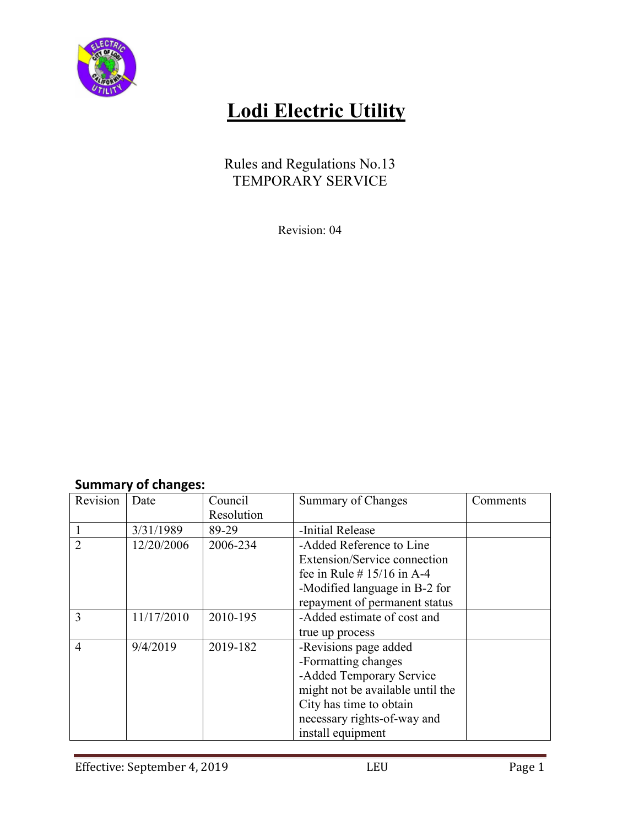

# **Lodi Electric Utility**

Rules and Regulations No.13 TEMPORARY SERVICE

Revision: 04

### **Summary of changes:**

| Revision       | Date       | Council    | Summary of Changes               | Comments |
|----------------|------------|------------|----------------------------------|----------|
|                |            | Resolution |                                  |          |
|                | 3/31/1989  | 89-29      | -Initial Release                 |          |
| $\overline{2}$ | 12/20/2006 | 2006-234   | -Added Reference to Line         |          |
|                |            |            | Extension/Service connection     |          |
|                |            |            | fee in Rule # $15/16$ in A-4     |          |
|                |            |            | -Modified language in B-2 for    |          |
|                |            |            | repayment of permanent status    |          |
| 3              | 11/17/2010 | 2010-195   | -Added estimate of cost and      |          |
|                |            |            | true up process                  |          |
| $\overline{4}$ | 9/4/2019   | 2019-182   | -Revisions page added            |          |
|                |            |            | -Formatting changes              |          |
|                |            |            | -Added Temporary Service         |          |
|                |            |            | might not be available until the |          |
|                |            |            | City has time to obtain          |          |
|                |            |            | necessary rights-of-way and      |          |
|                |            |            | install equipment                |          |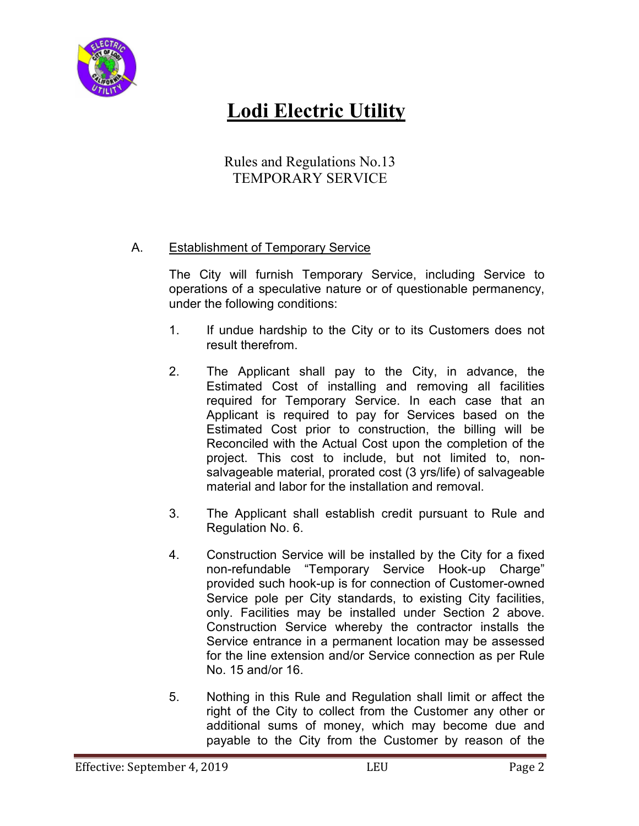

## **Lodi Electric Utility**

Rules and Regulations No.13 TEMPORARY SERVICE

#### A. Establishment of Temporary Service

 The City will furnish Temporary Service, including Service to operations of a speculative nature or of questionable permanency, under the following conditions:

- 1. If undue hardship to the City or to its Customers does not result therefrom.
- 2. The Applicant shall pay to the City, in advance, the Estimated Cost of installing and removing all facilities required for Temporary Service. In each case that an Applicant is required to pay for Services based on the Estimated Cost prior to construction, the billing will be Reconciled with the Actual Cost upon the completion of the project. This cost to include, but not limited to, nonsalvageable material, prorated cost (3 yrs/life) of salvageable material and labor for the installation and removal.
- 3. The Applicant shall establish credit pursuant to Rule and Regulation No. 6.
- 4. Construction Service will be installed by the City for a fixed non-refundable "Temporary Service Hook-up Charge" provided such hook-up is for connection of Customer-owned Service pole per City standards, to existing City facilities, only. Facilities may be installed under Section 2 above. Construction Service whereby the contractor installs the Service entrance in a permanent location may be assessed for the line extension and/or Service connection as per Rule No. 15 and/or 16.
- 5. Nothing in this Rule and Regulation shall limit or affect the right of the City to collect from the Customer any other or additional sums of money, which may become due and payable to the City from the Customer by reason of the